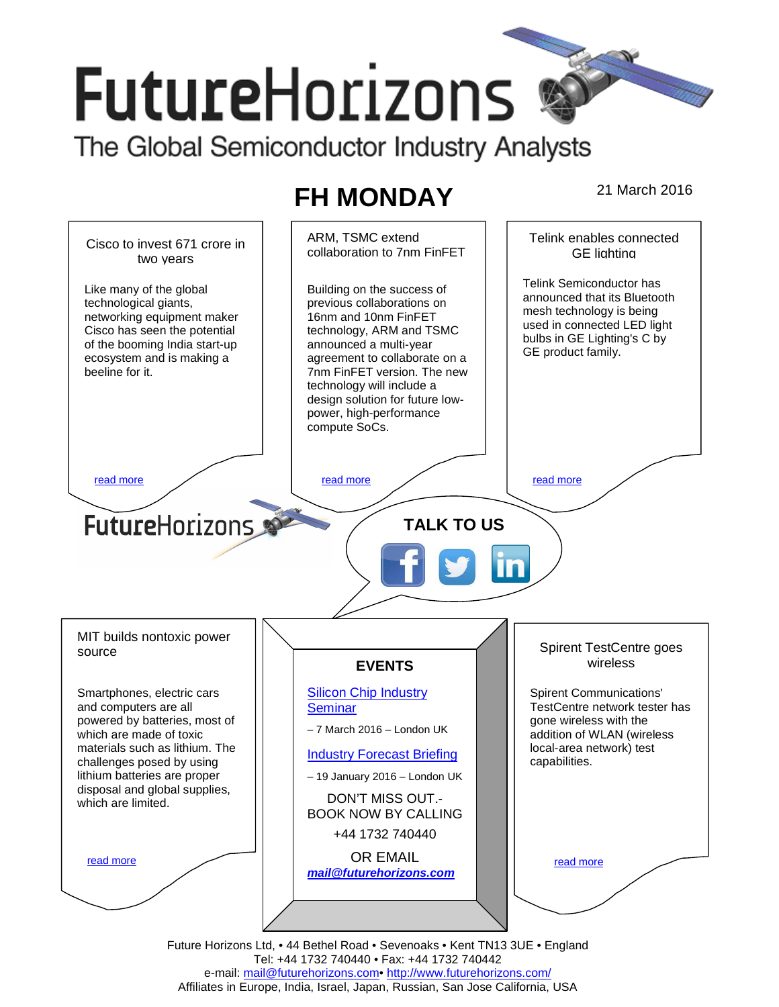# **FutureHorizons**

The Global Semiconductor Industry Analysts

## **FH MONDAY** 21 March 2016



e-mail: mail@futurehorizons.com• http://www.futurehorizons.com/ Affiliates in Europe, India, Israel, Japan, Russian, San Jose California, USA